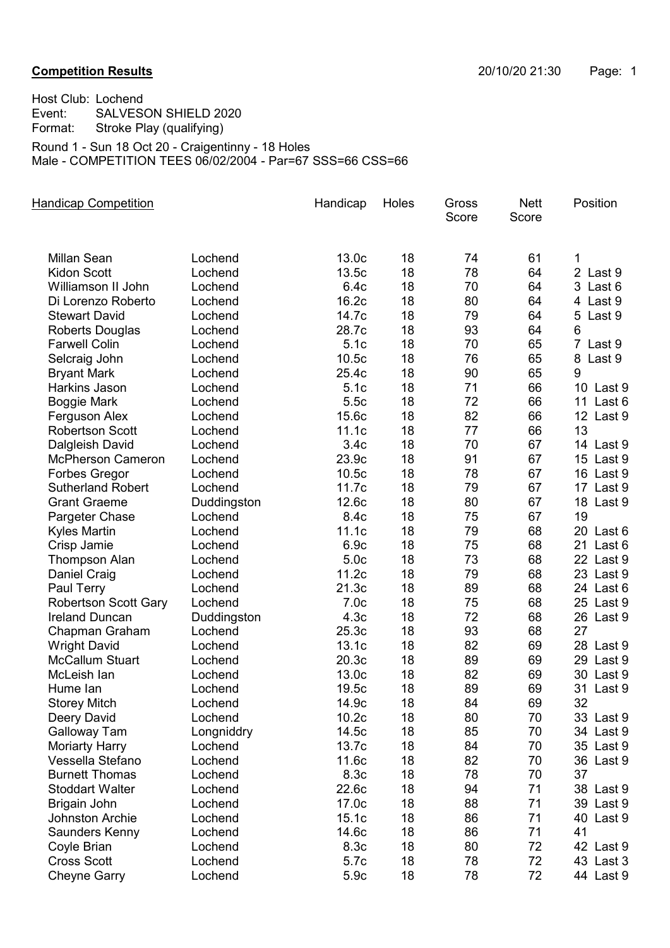## **Competition Results** 20/10/20 21:30 Page: 1

Host Club: Lochend Event: SALVESON SHIELD 2020 Format: Stroke Play (qualifying) Round 1 - Sun 18 Oct 20 - Craigentinny - 18 Holes Male - COMPETITION TEES 06/02/2004 - Par=67 SSS=66 CSS=66

| <b>Handicap Competition</b> |             | Handicap         | Holes | Gross<br>Score | <b>Nett</b><br>Score | Position                 |
|-----------------------------|-------------|------------------|-------|----------------|----------------------|--------------------------|
| <b>Millan Sean</b>          | Lochend     | 13.0c            | 18    | 74             | 61                   | 1                        |
| <b>Kidon Scott</b>          | Lochend     | 13.5c            | 18    | 78             | 64                   | 2 Last 9                 |
| Williamson II John          | Lochend     | 6.4c             | 18    | 70             | 64                   | 3 Last 6                 |
| Di Lorenzo Roberto          | Lochend     | 16.2c            | 18    | 80             | 64                   | 4 Last 9                 |
| <b>Stewart David</b>        | Lochend     | 14.7c            | 18    | 79             | 64                   | 5<br>Last 9              |
| Roberts Douglas             | Lochend     | 28.7c            | 18    | 93             | 64                   | 6                        |
| <b>Farwell Colin</b>        | Lochend     | 5.1c             | 18    | 70             | 65                   | $\overline{7}$<br>Last 9 |
| Selcraig John               | Lochend     | 10.5c            | 18    | 76             | 65                   | 8<br>Last 9              |
| <b>Bryant Mark</b>          | Lochend     | 25.4c            | 18    | 90             | 65                   | 9                        |
| Harkins Jason               | Lochend     | 5.1c             | 18    | 71             | 66                   | 10 Last 9                |
| <b>Boggie Mark</b>          | Lochend     | 5.5c             | 18    | 72             | 66                   | 11 Last 6                |
| Ferguson Alex               | Lochend     | 15.6c            | 18    | 82             | 66                   | 12 Last 9                |
| <b>Robertson Scott</b>      | Lochend     | 11.1c            | 18    | 77             | 66                   | 13                       |
| Dalgleish David             | Lochend     | 3.4c             | 18    | 70             | 67                   | 14 Last 9                |
| <b>McPherson Cameron</b>    | Lochend     | 23.9c            | 18    | 91             | 67                   | 15 Last 9                |
| <b>Forbes Gregor</b>        | Lochend     | 10.5c            | 18    | 78             | 67                   | 16 Last 9                |
| <b>Sutherland Robert</b>    | Lochend     | 11.7c            | 18    | 79             | 67                   | 17 Last 9                |
| <b>Grant Graeme</b>         | Duddingston | 12.6c            | 18    | 80             | 67                   | 18 Last 9                |
| Pargeter Chase              | Lochend     | 8.4c             | 18    | 75             | 67                   | 19                       |
| <b>Kyles Martin</b>         | Lochend     | 11.1c            | 18    | 79             | 68                   | 20 Last 6                |
| Crisp Jamie                 | Lochend     | 6.9c             | 18    | 75             | 68                   | 21 Last 6                |
| <b>Thompson Alan</b>        | Lochend     | 5.0 <sub>c</sub> | 18    | 73             | 68                   | 22 Last 9                |
| Daniel Craig                | Lochend     | 11.2c            | 18    | 79             | 68                   | 23 Last 9                |
| Paul Terry                  | Lochend     | 21.3c            | 18    | 89             | 68                   | 24 Last 6                |
| <b>Robertson Scott Gary</b> | Lochend     | 7.0 <sub>c</sub> | 18    | 75             | 68                   | 25 Last 9                |
| <b>Ireland Duncan</b>       | Duddingston | 4.3 <sub>c</sub> | 18    | 72             | 68                   | 26 Last 9                |
| Chapman Graham              | Lochend     | 25.3c            | 18    | 93             | 68                   | 27                       |
| <b>Wright David</b>         | Lochend     | 13.1c            | 18    | 82             | 69                   | 28 Last 9                |
| <b>McCallum Stuart</b>      | Lochend     | 20.3c            | 18    | 89             | 69                   | 29 Last 9                |
| McLeish lan                 | Lochend     | 13.0c            | 18    | 82             | 69                   | 30 Last 9                |
| Hume lan                    | Lochend     | 19.5c            | 18    | 89             | 69                   | 31<br>Last 9             |
| <b>Storey Mitch</b>         | Lochend     | 14.9c            | 18    | 84             | 69                   | 32                       |
| Deery David                 | Lochend     | 10.2c            | 18    | 80             | 70                   | 33 Last 9                |
| Galloway Tam                | Longniddry  | 14.5c            | 18    | 85             | 70                   | 34 Last 9                |
| <b>Moriarty Harry</b>       | Lochend     | 13.7c            | 18    | 84             | 70                   | 35 Last 9                |
| Vessella Stefano            | Lochend     | 11.6c            | 18    | 82             | 70                   | 36 Last 9                |
| <b>Burnett Thomas</b>       | Lochend     | 8.3c             | 18    | 78             | 70                   | 37                       |
| <b>Stoddart Walter</b>      | Lochend     | 22.6c            | 18    | 94             | 71                   | 38 Last 9                |
| Brigain John                | Lochend     | 17.0c            | 18    | 88             | 71                   | 39 Last 9                |
| Johnston Archie             | Lochend     | 15.1c            | 18    | 86             | 71                   | 40 Last 9                |
| Saunders Kenny              | Lochend     | 14.6c            | 18    | 86             | 71                   | 41                       |
| Coyle Brian                 | Lochend     | 8.3c             | 18    | 80             | 72                   | 42 Last 9                |
| <b>Cross Scott</b>          | Lochend     | 5.7c             | 18    | 78             | 72                   | 43 Last 3                |
| <b>Cheyne Garry</b>         | Lochend     | 5.9c             | 18    | 78             | 72                   | 44 Last 9                |